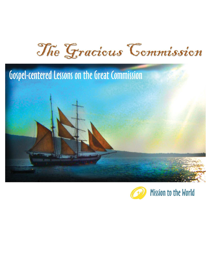

# Gospel-centered Lessons on the Great Commission





**Mission to the World**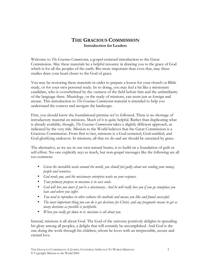# THE GRACIOUS COMMISSION Introduction for Leaders

Welcome to *The Gracious Commission*, a gospel-centered introduction to the Great Commission. May these materials be a helpful resource in drawing you to the grace of God which is for all the peoples of the earth. But more important than even that, may these studies draw your heart closer to the God of grace.

You may be reviewing these materials in order to prepare a lesson for your church or Bible study, or for your own personal study. In so doing, you may feel a bit like a missionary candidate, who is overwhelmed by the vastness of the field before him and the unfamiliarity of the language there. Missiology, or the study of missions, can seem just as foreign and arcane. This introduction to *The Gracious Commission* material is intended to help you understand the context and navigate the landscape.

First, you should know the foundational premise we've followed. There is no shortage of introductory material on missions. Much of it is quite helpful. Rather than duplicating what is already available, though, The Gracious Commission takes a slightly different approach, as indicated by the very title. Mission to the World believes that the Great Commission is a Gracious Commission. From first to last, missions is a God-centered, God-enabled, and God-glorifying endeavor. In missions, all that we do and are should be saturated by grace.

The alternative, as we see in our own natural hearts, is to build on a foundation of guilt or self-effort. No one explicitly says as much, but non-gospel messages like the following are all too common:

- Given the incredible needs around the world, you should feel guilty about not sending your money, people and resources.
- God needs you, and the missionary enterprise waits on your response.
- Your primary purpose in missions is to save souls.
- God will love you more if you're a missionary. And he will really love you if you go someplace you hate and where you suffer.
- You need to reproduce in other cultures the methods and means you like and found successful.
- The most important thing you can do is get decisions for Christ, and any pragmatic means to get as many decisions as possible is justifiable.
- When you really get down to it, missions is all about you.

Instead, missions is all about God. The God of the universe positively delights in spreading his glory among all peoples, a delight that will certainly be accomplished. And God is the one doing the work through his children, whom he loves with an irrepressible, secure and eternal love.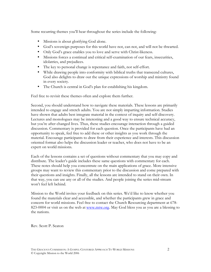Some recurring themes you'll hear throughout the series include the following:

- Missions is about glorifying God alone.
- God's sovereign purposes for this world have not, can not, and will not be thwarted.
- Only God's grace enables you to love and serve with Christ-likeness.
- Missions forces a continual and critical self-examination of our fears, insecurities, idolatries, and prejudices.
- The key to personal change is repentance and faith, not self-effort.
- While drawing people into conformity with biblical truths that transcend cultures, God also delights to draw out the unique expressions of worship and ministry found in every society.
- The Church is central in God's plan for establishing his kingdom.

Feel free to revisit these themes often and explore them further.

Second, you should understand how to navigate these materials. These lessons are primarily intended to engage and stretch adults. You are not simply imparting information. Studies have shown that adults best integrate material in the context of inquiry and self-discovery. Lectures and monologues may be interesting and a good way to ensure technical accuracy, but you're after changed lives. Thus, these studies encourage interaction through a guided discussion. Commentary is provided for each question. Once the participants have had an opportunity to speak, feel free to add these or other insights as you work through the material. Encourage participants to draw from their experience and interests. This discussion oriented format also helps the discussion leader or teacher, who does not have to be an expert on world missions.

Each of the lessons contains a set of questions without commentary that you may copy and distribute. The leader's guide includes these same questions with commentary for each. These notes should help you concentrate on the main applications of grace. More intensive groups may want to review this commentary prior to the discussion and come prepared with their questions and insights. Finally, all the lessons are intended to stand on their own. In that way, you can use any or all of the studies. And people joining the series mid-stream won't feel left behind.

Mission to the World invites your feedback on this series. We'd like to know whether you found the materials clear and accessible, and whether the participants grew in grace and concern for world missions. Feel free to contact the Church Resourcing department at 678- 823-0004 or visit us on the web at www.mtw.org. May God bless you as you are a blessing to the nations.

Rev. Scott P. Seaton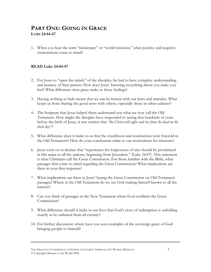# PART ONE: GOING IN GRACE LUKE 24:44-47

1. When you hear the term "missionary" or "world missions," what positive and negative connotations come to mind?

#### READ Luke 24:44-47

- 2. For Jesus to "open the minds" of the disciples, he had to have complete understanding and mastery of their person. How does Jesus' knowing everything about you make you feel? What difference does grace make to those feelings?
- 3. Having nothing to hide means that we can be honest with our fears and attitudes. What keeps us from sharing the good news with others, especially those in other cultures?
- 4. The Scripture that Jesus helped them understand was what we now call the Old Testament. How might the disciples have responded to seeing that hundreds of years before the birth of Jesus, it was written that "the Christ will suffer and rise from the dead on the third day"?
- 5. What difference does it make to us that the crucifixion and resurrection were foretold in the Old Testament? How do your conclusions relate to our motivations for missions?
- 6. Jesus went on to declare that "repentance for forgiveness of sins should be proclaimed in His name to all the nations, beginning from Jerusalem." (Luke 24:47). This statement is what Christians call the Great Commission. For those familiar with the Bible, what passages first come to mind regarding the Great Commission? What implications are there in your first response?
- 7. What implications are there in Jesus' basing the Great Commission on Old Testament passages? Where in the Old Testament do we see God making himself known to all the nations?
- 8. Can you think of passages in the New Testament where God confirms the Great Commission?
- 9. What difference should it make in our lives that God's story of redemption is unfolding exactly as he ordained from all eternity?
- 10. For further discussion: where have you seen examples of the sovereign grace of God bringing people to himself?

THE GRACIOUS COMMISSION: A GOSPEL-CENTERED APPROACH TO WORLD MISSIONS 3 © Copyright Mission to the World 2006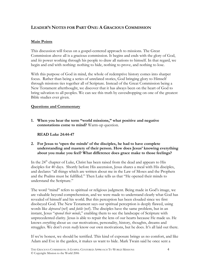## LEADER'S NOTES FOR PART ONE: A GRACIOUS COMMISSION

#### Main Points

This discussion will focus on a gospel-centered approach to missions. The Great Commission above all is a gracious commission. It begins and ends with the glory of God, and his power working through his people to draw all nations to himself. In that regard, we begin and end with nothing: nothing to hide, nothing to prove, and nothing to lose.

With this purpose of God in mind, the whole of redemptive history comes into sharper focus. Rather than being a series of unrelated stories, God bringing glory to Himself through missions ties together all of Scripture. Instead of the Great Commission being a New Testament afterthought, we discover that it has always been on the heart of God to bring salvation to all peoples. We can see this truth by eavesdropping on one of the greatest Bible studies ever given.

#### Questions and Commentary

1. When you hear the term "world missions," what positive and negative connotations come to mind? Warm-up question.

READ Luke 24:44-47

2. For Jesus to 'open the minds' of the disciples, he had to have complete understanding and mastery of their person. How does Jesus' knowing everything about you make you feel? What difference does grace make to those feelings?

In the 24<sup>th</sup> chapter of Luke, Christ has been raised from the dead and appears to His disciples for 40 days. Shortly before His ascension, Jesus shares a meal with His disciples, and declares "all things which are written about me in the Law of Moses and the Prophets and the Psalms must be fulfilled." Then Luke tells us that "He opened their minds to understand the Scripture."

The word "mind" refers to spiritual or religious judgment. Being made in God's image, we are valuable beyond comprehension, and we were made to understand clearly what God has revealed of himself and his world. But this perception has been clouded since we first disobeyed God. The New Testament says our spiritual perception is deeply flawed, using words like *depraved* (ref) and *futile* (ref). The disciples have the same problem, but in an instant, Jesus "opened their minds," enabling them to see the landscape of Scripture with unprecedented clarity. Jesus is able to repair the lens of our hearts because He made us. He knows everything about us: our motivations, personality, history, thoughts, dreams and struggles. We don't even *really* know our own motivations, but he does. It's all laid out there.

If we're honest, we should be terrified. This kind of exposure brings us no comfort, and like Adam and Eve in the garden, it makes us want to hide. Mark Twain said he once sent a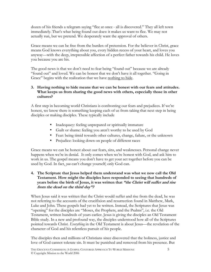dozen of his friends a telegram saying "flee at once - all is discovered." They all left town immediately. That's what being found out does: it makes us want to flee. We may not actually run, but we pretend. We desperately want the approval of others.

Grace means we can be free from the burden of pretension. For the believer in Christ, grace means God knows everything about you, every hidden recess of your heart, and loves you anyway—with the deep, irrepressible affection of a perfect father towards his child. He loves you because you are his.

The good news is that we don't need to fear being "found out" because we are already "found out" and loved. We can be honest that we don't have it all together. "Going in Grace" begins with the realization that we have nothing to hide.

#### 3. Having nothing to hide means that we can be honest with our fears and attitudes. What keeps us from sharing the good news with others, especially those in other cultures?

A first step in becoming world Christians is confronting our fears and prejudices. If we're honest, we know there is something keeping each of us from taking that next step in being disciples or making disciples. These typically include

- Inadequacy: feeling unprepared or spiritually immature
- Guilt or shame: feeling you aren't worthy to be used by God
- Fear: being timid towards other cultures, change, failure, or the unknown
- Prejudice: looking down on people of different races

Grace means we can be honest about our fears, sins, and weaknesses. Personal change never happens when we're in denial. It only comes when we're honest with God, and ask him to work in us. The gospel means you don't have to get your act together before you can be used by God. In fact, you can't change yourself; only God can.

#### 4. The Scripture that Jesus helped them understand was what we now call the Old Testament. How might the disciples have responded to seeing that hundreds of years before the birth of Jesus, it was written that "the Christ will suffer and rise from the dead on the third day"?

When Jesus said it was written that the Christ would suffer and rise from the dead, he was not referring to the accounts of the crucifixion and resurrection found in Matthew, Mark, Luke and John. These gospels had yet to be written. Instead, the Scriptures that Jesus was "opening" for the disciples are "Moses, the Prophets, and the Psalms", i.e. the Old Testament, written hundreds of years earlier. Jesus is giving the disciples an Old Testament Bible study. In a new and profound way, the disciples understood how all of the Scriptures pointed towards Christ. *Everything* in the Old Testament is about Jesus—the revelation of the character of God and his relentless pursuit of his people.

The disciples then and millions of Christians since discovered that the holiness, justice and love of God cannot tolerate sin. It must be punished and removed from his presence. But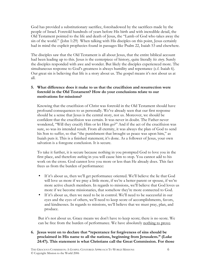God has provided a substitutionary sacrifice, foreshadowed by the sacrifices made by the people of Israel. Foretold hundreds of years before His birth and with incredible detail, the Old Testament pointed to the life and death of Jesus, the "Lamb of God who takes away the sin of the world." (John 1:29) When talking with His disciples on this point, Jesus certainly had in mind the explicit prophecies found in passages like Psalm 22, Isaiah 53 and elsewhere.

The disciples saw that the Old Testament is all about Jesus, that the entire biblical account had been leading up to this. Jesus is the centerpiece of history, quite literally his story. Surely the disciples responded with awe and wonder. But likely the disciples experienced more. The simultaneous response to God's greatness is always humility and repentance (c.f. Isaiah 6). Our great sin is believing that life is a story about us. The gospel means it's not about us at all.

#### 5. What difference does it make to us that the crucifixion and resurrection were foretold in the Old Testament? How do your conclusions relate to our motivations for missions?

Knowing that the crucifixion of Christ was foretold in the Old Testament should have profound consequences to us personally. We've already seen that our first response should be a sense that Jesus is the central story, not us. Moreover, we should be confident that the crucifixion was certain. It was never in doubt. The Father never wondered, "Will they crucify Him or let Him go?" And if the act of the crucifixion was sure, so was its intended result. From all eternity, it was always the plan of God to send his Son to suffer, so that "the punishment that brought us peace was upon him," as Isaiah puts it. This is a finished statement; it's done. As a follower of Jesus, your own salvation is a foregone conclusion. It is secure.

To take it further, it is secure because nothing in you prompted God to love you in the first place, and therefore *nothing* in you will cause him to stop. You cannot add to his work on the cross. God cannot love you more or less than He already does. This fact frees us from the burden of performance:

- If it's about us, then we'll get performance oriented. We'll believe the lie that God will love us more if we pray a little more, if we're a better parent or spouse, if we're more active church members. In regards to missions, we'll believe that God loves us more if we become missionaries, that somehow they're more connected to God.
- If it's about us, then we need to be in control. We'll need to be successful in our eyes and the eyes of others, we'll need to keep score of accomplishments, favors, and kindnesses. In regards to missions, we'll believe that we must pray, plan, and produce.

But it's not about us. Grace means we don't have to keep score; there is no score. We can be free from the burden of performance. We have absolutely nothing to prove.

#### 6. Jesus went on to declare that "repentance for forgiveness of sins should be proclaimed in His name to all the nations, beginning from Jerusalem." (Luke 24:47). This statement is what Christians call the Great Commission. For those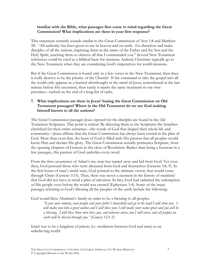#### familiar with the Bible, what passages first come to mind regarding the Great Commission? What implications are there in your first response?

This statement certainly sounds similar to the Great Commission of Acts 1:8 and Matthew 28: "All authority has been given to me in heaven and on earth. Go therefore and make disciples of all the nations, baptizing them in the name of the Father and the Son and the Holy Spirit, teaching them to observe all that I commanded you." Several New Testament references could be cited as a biblical basis for missions. Indeed, Christians typically go to the New Testament when they are considering God's imperatives for world missions.

But if the Great Commission is found only in a few verses in the New Testament, then does it really deserve to be the priority of the Church? If the command to take the gospel into all the world only appears as a hurried afterthought in the mind of Jesus, remembered at the last minute before His ascension, then surely it merits the same treatment in our own priorities—tacked on the end of a long list of tasks.

#### 7. What implications are there in Jesus' basing the Great Commission on Old Testament passages? Where in the Old Testament do we see God making himself known to all the nations?

The Great Commission passages Jesus opened for the disciples are found in the Old Testament Scriptures. This point is critical. By directing them to the Scriptures the Israelites cherished for their entire existence—the words of God that shaped their whole life and community—Jesus affirms that the Great Commission has always been central in the plan of God. More than even that, the heart of God is filled with His passion that all peoples would know Him and declare His glory. The Great Commission actually permeates Scripture, from the opening chapters of Genesis to the close of Revelation. Rather than being a footnote in a few passages, this passion of God underlies every word.

From the first occurrence of Adam's sin, man has turned away and hid from God. Yet even then, God pursued those who were alienated from God and themselves (Genesis 3:8, 9). In the first hours of man's sinful state, God pointed to the ultimate victory that would come through Christ (Genesis 3:15). Thus, there was never a moment in the history of mankind that God did not have in mind a plan of salvation. In fact, God had ordained the redemption of His people even before the world was created (Ephesians 1:4). Some of the many passages referring to God's blessing all the peoples of the earth include the following:

God would bless Abraham's family in order to be a blessing to all peoples:

"Leave your country, your people and your father's household and go to the land I will show you. I will make you into a great nation and I will bless you; I will make your name great and you will be a blessing. I will bless those who bless you, and whoever curses you I will curse; and all peoples on earth will be blessed through you." (Genesis 12:1-3)

Israel was to be a kingdom of priests (i.e. mediators between God and man) to an unbelieving world: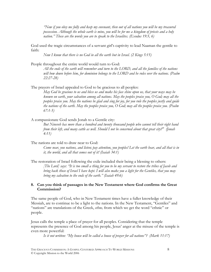"Now if you obey me fully and keep my covenant, then out of all nations you will be my treasured possession. Although the whole earth is mine, you will be for me a kingdom of priests and a holy nation." These are the words you are to speak to the Israelites. (Exodus 19:5, 6)

God used the tragic circumstances of a servant girl's captivity to lead Naaman the gentile to faith:

Now I know that there is no God in all the earth but in Israel. (2 Kings 5:15)

People throughout the entire world would turn to God:

All the ends of the earth will remember and turn to the LORD, and all the families of the nations will bow down before him, for dominion belongs to the LORD and he rules over the nations. (Psalm 22:27-28)

The prayers of Israel appealed to God to be gracious to all peoples:

May God be gracious to us and bless us and make his face shine upon us, that your ways may be known on earth, your salvation among all nations. May the peoples praise you, O God; may all the peoples praise you. May the nations be glad and sing for joy, for you rule the peoples justly and guide the nations of the earth. May the peoples praise you,  $O$  God; may all the peoples praise you. (Psalm 67:1-5)

A compassionate God sends Jonah to a Gentile city:

But Nineveh has more than a hundred and twenty thousand people who cannot tell their right hand from their left, and many cattle as well. Should I not be concerned about that great city?" (Jonah 4:11)

The nations are told to draw near to God:

Come near, you nations, and listen; pay attention, you peoples! Let the earth hear, and all that is in it, the world, and all that comes out of it! (Isaiah 34:1)

The restoration of Israel following the exile included their being a blessing to others: [The Lord] says: "It is too small a thing for you to be my servant to restore the tribes of Jacob and bring back those of Israel I have kept. I will also make you a light for the Gentiles, that you may bring my salvation to the ends of the earth." (Isaiah 49:6)

#### 8. Can you think of passages in the New Testament where God confirms the Great Commission?

The same people of God, who in New Testament times have a fuller knowledge of their Messiah, are to continue to be a light to the nations. In the New Testament, "Gentiles" and "nations" are translations of the Greek, ethne, from which we get the word "ethnic" or people.

Jesus calls the temple a place of prayer for all peoples. Considering that the temple represents the presence of God among his people, Jesus' anger at the misuse of the temple is even more powerful:

Is it not written: "My house will be called a house of prayer for all nations"? (Mark 11:17)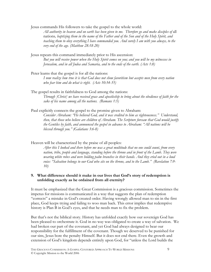Jesus commands His followers to take the gospel to the whole world: All authority in heaven and on earth has been given to me. Therefore go and make disciples of all nations, baptizing them in the name of the Father and of the Son and of the Holy Spirit, and teaching them to obey everything I have commanded you. And surely I am with you always, to the very end of the age. (Matthew 28:18-20)

Jesus repeats this command immediately prior to His ascension: But you will receive power when the Holy Spirit comes on you; and you will be my witnesses in Jerusalem, and in all Judea and Samaria, and to the ends of the earth. (Acts 1:8)

Peter learns that the gospel is for all the nations: I now realize how true it is that God does not show favoritism but accepts men from every nation who fear him and do what is right. (Acts 10:34-35)

The gospel results in faithfulness to God among the nations: Through [Christ] we have received grace and apostleship to bring about the obedience of faith for the sake of his name among all the nations. (Romans 1:5)

Paul explicitly connects the gospel to the promise given to Abraham:

Consider Abraham: "He believed God, and it was credited to him as righteousness." Understand, then, that those who believe are children of Abraham. The Scripture foresaw that God would justify the Gentiles by faith, and announced the gospel in advance to Abraham: "All nations will be blessed through you." (Galatians 3:6-8)

Heaven will be characterized by the praise of all peoples:

After this I looked and there before me was a great multitude that no one could count, from every nation, tribe, people and language, standing before the throne and in front of the Lamb. They were wearing white robes and were holding palm branches in their hands. And they cried out in a loud voice: "Salvation belongs to our God who sits on the throne, and to the Lamb." (Revelation 7:9- 10)

#### 9. What difference should it make in our lives that God's story of redemption is unfolding exactly as he ordained from all eternity?

It must be emphasized that the Great Commission is a gracious commission. Sometimes the impetus for missions is communicated in a way that suggests the plan of redemption "corrects" a mistake in God's created order. Having wrongly allowed man to sin in the first place, God keeps trying and failing to woo man back. This error implies that redemptive history is Plan B in God's eyes, and that he needs man to fix the problem.

But that's not the biblical story. History has unfolded exactly how our sovereign God has been pleased to orchestrate it. God in no way was obligated to create a way of salvation. We had broken our part of the covenant, and yet God had always designed to bear our responsibility for the fulfillment of the covenant. Though we deserved to be punished for our sins, Jesus bore the penalty Himself. But it does not end there. Even the growth and extension of God's kingdom depends entirely upon God, for "unless the Lord builds the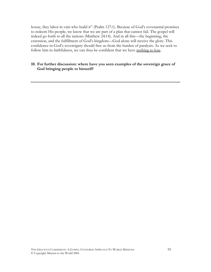house, they labor in vain who build it" (Psalm 127:1). Because of God's covenantal promises to redeem His people, we know that we are part of a plan that cannot fail. The gospel will indeed go forth to all the nations (Matthew 24:14). And in all this—the beginning, the extension, and the fulfillment of God's kingdom—God alone will receive the glory. This confidence in God's sovereignty should free us from the burden of paralysis. As we seek to follow him in faithfulness, we can thus be confident that we have nothing to lose.

#### 10. For further discussion: where have you seen examples of the sovereign grace of God bringing people to himself?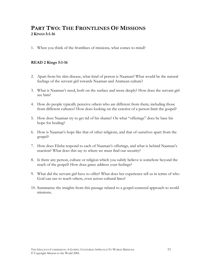# PART TWO: THE FRONTLINES OF MISSIONS 2 KINGS 5:1-16

1. When you think of the frontlines of missions, what comes to mind?

#### READ 2 Kings 5:1-16

- 2. Apart from his skin disease, what kind of person is Naaman? What would be the natural feelings of the servant girl towards Naaman and Aramean culture?
- 3. What is Naaman's need, both on the surface and more deeply? How does the servant girl see him?
- 4. How do people typically perceive others who are different from them, including those from different cultures? How does looking on the exterior of a person limit the gospel?
- 5. How does Naaman try to get rid of his shame? On what "offerings" does he base his hope for healing?
- 6. How is Naaman's hope like that of other religions, and that of ourselves apart from the gospel?
- 7. How does Elisha respond to each of Naaman's offerings, and what is behind Naaman's reaction? What does this say to where we must find our security?
- 8. Is there any person, culture or religion which you subtly believe is somehow beyond the reach of the gospel? How does grace address your feelings?
- 9. What did the servant girl have to offer? What does her experience tell us in terms of who God can use to reach others, even across cultural lines?
- 10. Summarize the insights from this passage related to a gospel-centered approach to world missions.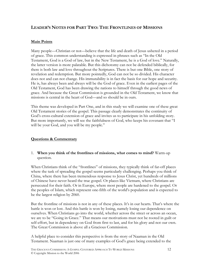### LEADER'S NOTES FOR PART TWO: THE FRONTLINES OF MISSIONS

#### Main Points

Many people—Christian or not—believe that the life and death of Jesus ushered in a period of grace. This common understanding is expressed in phrases such as "In the Old Testament, God is a God of law, but in the New Testament, he is a God of love." Naturally, the latter version is more palatable. But this dichotomy can not be defended biblically, for there is both law and love throughout the Scriptures. There is but one Bible, one story of revelation and redemption. But more pointedly, God can not be so divided. His character does not and can not change. His immutability is in fact the basis for our hope and security. He is, has always been and always will be the God of grace. Even in the earliest pages of the Old Testament, God has been drawing the nations to himself through the good news of grace. And because the Great Commission is grounded in the Old Testament, we know that missions is central in the heart of God—and so should be in ours.

This theme was developed in Part One, and in this study we will examine one of these great Old Testament stories of the gospel. This passage clearly demonstrates the continuity of God's cross-cultural extension of grace and invites us to participate in his unfolding story. But more importantly, we will see the faithfulness of God, who keeps his covenant that "I will be your God, and you will be my people."

#### Questions & Commentary

#### 1. When you think of the frontlines of missions, what comes to mind? Warm-up question.

When Christians think of the "frontlines" of missions, they typically think of far-off places where the task of spreading the gospel seems particularly challenging. Perhaps you think of China, where there has been tremendous response to Jesus Christ, yet hundreds of millions of Chinese have never heard the true gospel. Or places like Vietnam, where Christians are persecuted for their faith. Or in Europe, where most people are hardened to the gospel. Or the peoples of Islam, which represent one-fifth of the world's population and is expected to be the largest religion by 2060.

But the frontline of missions is not in any of these places. It's in our hearts. That's where the battle is won or lost. And this battle is won by losing, namely losing our dependence on ourselves. When Christians go into the world, whether across the street or across an ocean, we are to be "Going in Grace." That means our motivations must not be rooted in guilt or self-effort, but in dependency on God from first to last, and for his glory and not our own. The Great Commission is above all a Gracious Commission.

A helpful place to consider this perspective is from the story of Naaman in the Old Testament. Naaman is just one of many examples of God's grace being extended to the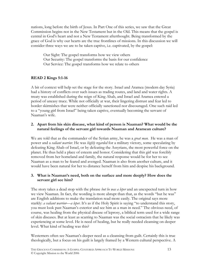nations, long before the birth of Jesus. In Part One of this series, we saw that the Great Commission begins not in the New Testament but in the Old. This means that the gospel is central in God's heart and not a New Testament afterthought. Being transformed by the grace of God is why our hearts are the true frontlines of missions. In this discussion we will consider three ways we are to be taken captive, i.e. captivated, by the gospel:

 Our Sight: The gospel transforms how we view others Our Security: The gospel transforms the basis for our confidence Our Service: The gospel transforms how we relate to others

#### READ 2 Kings 5:1-16

A bit of context will help set the stage for the story. Israel and Aramea (modern day Syria) had a history of conflicts over such issues as trading routes, and land and water rights. A treaty was established during the reign of King Ahab, and Israel and Aramea entered a period of uneasy truce. While not officially at war, their lingering distrust and fear led to border skirmishes that were neither officially sanctioned nor discouraged. One such raid led to a "young girl from Israel" being taken captive, eventually becoming the servant of Naaman's wife.

#### 2. Apart from his skin disease, what kind of person is Naaman? What would be the natural feelings of the servant girl towards Naaman and Aramean culture?

We are told that as the commander of the Syrian army, he was a *great man*. He was a man of power and a *valiant warrior*. He was *highly regarded* for a military victory, some speculating by defeating King Ahab of Israel, or by defeating the Assyrians, the most powerful force on the planet. He thus held a place of esteem and honor. Considering that this girl was forcibly removed from her homeland and family, the natural response would be for her to see Naaman as a man to be feared and avenged. Naaman is also from another culture, and it would have been natural for her to distance herself from him and despise his background.

#### 3. What is Naaman's need, both on the surface and more deeply? How does the servant girl see him?

The story takes a dead stop with the phrase *but he was a leper* and an unexpected turn in how we view Naaman. In fact, the wording is more abrupt than that, as the words "but he was" are English additions to make the translation read more easily. The original says more starkly: *a valiant warrior—a leper*. It's as if the Holy Spirit is saying "to understand this story, you must look past Naaman's exterior and see him as a man in need." The obvious need, of course, was healing from the physical disease of leprosy, a biblical term used for a wide range of skin diseases. But at least as scarring to Naaman was the social ostracism that he likely was experiencing at some level. He is need of healing, but he really needed cleansing on deeper level. What kind of healing was this?

Westerners often see Naaman's deeper need as a cleansing from guilt. Certainly this is true theologically, but a focus on his guilt is largely framed by a Western cultural perspective. A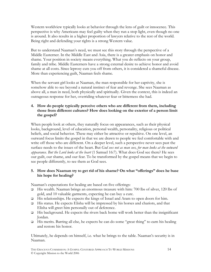Western worldview typically looks at behavior through the lens of guilt or innocence. This perspective is why Americans may feel guilty when they run a stop light, even though no one is around. It also results in a higher proportion of lawyers relative to the rest of the world. Being right and defending your rights is a strong Western value.

But to understand Naaman's need, we must see this story through the perspective of a Middle Easterner. In the Middle East and Asia, there is a greater emphasis on honor and shame. Your position in society means everything. What you do reflects on your group, family and tribe. Middle Easterners have a strong external desire to achieve honor and avoid shame at all costs. Since leprosy cuts you off from others, it is considered a shameful disease. More than experiencing guilt, Naaman feels shame.

When the servant girl looks at Naaman, the man responsible for her captivity, she is somehow able to see beyond a natural instinct of fear and revenge. She sees Naaman as above all, a man in need, both physically and spiritually. Given the context, this is indeed an outrageous response for her, overriding whatever fear or bitterness she had.

#### 4. How do people typically perceive others who are different from them, including those from different cultures? How does looking on the exterior of a person limit the gospel?

When people look at others, they naturally focus on appearances, such as their physical looks, background, level of education, personal wealth, personality, religious or political beliefs, and social behavior. These may either be attractive or repulsive. On one level, an outward focus limits the gospel in that we are drawn to people we feel comfortable with and write off those who are different. On a deeper level, such a perspective never sees past the surface needs to the issues of the heart. But God sees not as man sees, for man looks at the outward appearance. But the Lord looks at the heart (1 Samuel 16:7). What does God see there? He sees our guilt, our shame, and our fear. To be transformed by the gospel means that we begin to see people differently, to see them as God sees.

#### 5. How does Naaman try to get rid of his shame? On what "offerings" does he base his hope for healing?

Naaman's expectations for healing are based on five offerings:

- His wealth. Naaman brings an enormous treasure with him: 700 lbs of silver, 120 lbs of gold, and 10 valuable garments, expecting he can buy a cure.
- □ His relationships. He expects the kings of Israel and Aram to open doors for him.
- $\Box$  His status. He expects Elisha will be impressed by his horses and chariots, and that Elisha will greet him personally out of deference.
- $\Box$  His background. He expects the rivers back home will work better than the insignificant Jordan.
- □ His merits. Barring all else, he expects he can do some "great thing" to earn his healing and restore his honor.

Ultimately, he depends on himself, i.e. what he brings to the table. Naaman's security is in Naaman.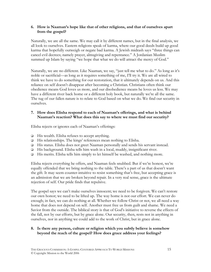#### 6. How is Naaman's hope like that of other religions, and that of ourselves apart from the gospel?

Naturally, we are all the same. We may call it by different names, but in the final analysis, we all look to ourselves. Eastern religions speak of karma, where our good deeds build up good karma that hopefully outweigh or negate bad karma. A Jewish midrash says "three things can cancel evil decrees; namely prayer, almsgiving and repentance." A Jordanian Muslim summed up Islam by saying "we hope that what we do will attract the mercy of God."

Naturally, we are no different. Like Naaman, we say, "just tell me what to do." As long as it's noble or sacrificial—as long as it requires something of me, I'll try it. We are all wired to think we have to do something for our restoration, that it ultimately depends on us. And this reliance on self doesn't disappear after becoming a Christian. Christians often think our obedience means God loves us more, and our disobedience means he loves us less. We may have a different river back home or a different holy book, but naturally we're all the same. The tug of our fallen nature is to relate to God based on what we do. We find our security in ourselves.

#### 7. How does Elisha respond to each of Naaman's offerings, and what is behind Naaman's reaction? What does this say to where we must find our security?

Elisha rejects or ignores each of Naaman's offerings:

- $\Box$  His wealth. Elisha refuses to accept anything.
- $\Box$  His relationships. The kings' references mean nothing to Elisha.
- His status. Elisha does not greet Naaman personally and sends his servant instead.
- His background. Elisha tells him wash in a local, muddy, insignificant river.
- $\Box$  His merits. Elisha tells him simply to let himself be washed, and nothing more.

Elisha rejects everything he offers, and Naaman feels snubbed. But if we're honest, we're equally offended that we bring nothing to the table. There's a part of us that doesn't want the gift. It may seem counter-intuitive to resist something that's free, but accepting grace is an admission that we are broken beyond repair. In a very real sense, grace is the ultimate rejection of self. Our pride finds that repulsive.

The gospel says we can't make ourselves innocent; we need to be forgiven. We can't restore our own honor; we need to be lifted up. The way home is not our effort. We can never do enough; in fact, we can do nothing at all. Whether we follow Christ or not, we all need a way home that does not depend on self. Another must free us from guilt and shame. We need a Savior from the outside. The biblical story is that of God's initiative to reverse the effects of the fall, not by our efforts, but by grace alone. Our security, then, rests not in anything in ourselves, nor in anything we could add to the work of Christ, but in grace alone.

#### 8. Is there any person, culture or religion which you subtly believe is somehow beyond the reach of the gospel? How does grace address your feelings?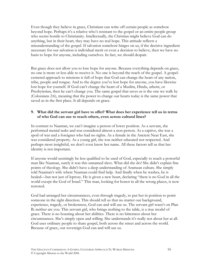Even though they believe in grace, Christians can write off certain people as somehow beyond hope. Perhaps it's a relative who's resistant to the gospel or an entire people group who seems hostile to Christianity. Intellectually, the Christian might believe God can do anything, but in their heart, they may have no real hope. This attitude reflects a misunderstanding of the gospel. If salvation somehow hinges on us, if the decisive ingredient necessary for our salvation is individual merit or even a decision to believe, then we have no basis to hope for anyone, including ourselves. In fact, we should despair.

But grace does not allow you to lose hope for anyone. Because everything depends on grace, no one is more or less able to receive it. No one is beyond the reach of the gospel. A gospelcentered approach to missions is full of hope that God can change the heart of any nation, tribe, people and tongue. And to the degree you've lost hope for anyone, you have likewise lost hope for yourself. If God can't change the heart of a Muslim, Hindu, atheist, or Presbyterian, then he can't change you. The same gospel that saves us is the one we walk by (Colossians 2:6), meaning that the power to change our hearts today is the same power that saved us in the first place. It all depends on grace.

#### 9. What did the servant girl have to offer? What does her experience tell us in terms of who God can use to reach others, even across cultural lines?

In contrast to Naaman, we can't imagine a person of lower position. As a servant, she performed menial tasks and was considered almost a non-person. As a captive, she was a spoil of war and a foreigner who had no rights. As a female in the Ancient Near East, she was considered property. As a young girl, she was neither educated nor respected. And perhaps most insightful, we don't even know her name. All these factors tell us that her identity is not important.

If anyone would seemingly be less qualified to be used of God, especially to reach a powerful man like Naaman, surely it was this unnamed slave. What did she do? She didn't explain fine points of theology. She didn't have a deep understanding of Aramean culture. She simply told Naaman's wife where Naaman could find help. And finally when he washes, he is healed—but not just of leprosy. He is given a new heart, declaring "there is no God in all the world except the God of Israel." This man, looking for honor in all the wrong places, is now restored.

God had arranged her circumstances, even through tragedy, to put her in position to point someone in the right direction. This should tell us that no matter our background, experience, tragedy, or brokenness, God can and will use us. The servant girl wasn't on Plan B; neither are you. This servant girl, who brings nothing to the table, is a true model of grace. There is no boasting about her abilities. There is no bitterness about her circumstances. She's simply open and willing. She understands it's really not about her at all. God uses ordinary people to share gospel, both across the street and across the world. Because of grace, our sovereign God can and will use us.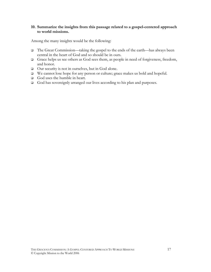#### 10. Summarize the insights from this passage related to a gospel-centered approach to world missions.

Among the many insights would be the following:

- The Great Commission—taking the gospel to the ends of the earth—has always been central in the heart of God and so should be in ours.
- Grace helps us see others as God sees them, as people in need of forgiveness, freedom, and honor.
- Our security is not in ourselves, but in God alone.
- We cannot lose hope for any person or culture; grace makes us bold and hopeful.
- God uses the humble in heart.
- God has sovereignly arranged our lives according to his plan and purposes.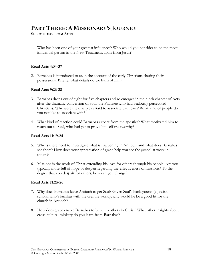# PART THREE: A MISSIONARY'S JOURNEY

#### SELECTIONS FROM ACTS

1. Who has been one of your greatest influences? Who would you consider to be the most influential person in the New Testament, apart from Jesus?

#### Read Acts 4:34-37

2. Barnabas is introduced to us in the account of the early Christians sharing their possessions. Briefly, what details do we learn of him?

#### Read Acts 9:26-28

- 3. Barnabas drops out of sight for five chapters and re-emerges in the ninth chapter of Acts after the dramatic conversion of Saul, the Pharisee who had zealously persecuted Christians. Why were the disciples afraid to associate with Saul? What kind of people do you not like to associate with?
- 4. What kind of reaction could Barnabas expect from the apostles? What motivated him to reach out to Saul, who had yet to prove himself trustworthy?

#### Read Acts 11:19-24

- 5. Why is there need to investigate what is happening in Antioch, and what does Barnabas see there? How does your appreciation of grace help you see the gospel at work in others?
- 6. Missions is the work of Christ extending his love for others through his people. Are you typically more full of hope or despair regarding the effectiveness of missions? To the degree that you despair for others, how can you change?

#### Read Acts 11:25-26

- 7. Why does Barnabas leave Antioch to get Saul? Given Saul's background (a Jewish scholar who's familiar with the Gentile world), why would he be a good fit for the church in Antioch?
- 8. How does grace enable Barnabas to build up others in Christ? What other insights about cross-cultural ministry do you learn from Barnabas?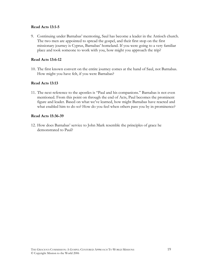#### Read Acts 13:1-5

9. Continuing under Barnabas' mentoring, Saul has become a leader in the Antioch church. The two men are appointed to spread the gospel, and their first stop on the first missionary journey is Cyprus, Barnabas' homeland. If you were going to a very familiar place and took someone to work with you, how might you approach the trip?

#### Read Acts 13:6-12

10. The first known convert on the entire journey comes at the hand of Saul, not Barnabas. How might you have felt, if you were Barnabas?

#### Read Acts 13:13

11. The next reference to the apostles is "Paul and his companions." Barnabas is not even mentioned. From this point on through the end of Acts, Paul becomes the prominent figure and leader. Based on what we've learned, how might Barnabas have reacted and what enabled him to do so? How do you feel when others pass you by in prominence?

#### Read Acts 15:36-39

12. How does Barnabas' service to John Mark resemble the principles of grace he demonstrated to Paul?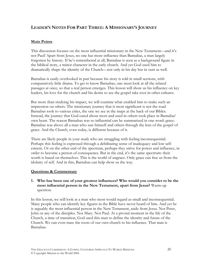# LEADER'S NOTES FOR PART THREE: A MISSIONARY'S JOURNEY

#### Main Points

This discussion focuses on the most influential missionary in the New Testament—and it's not Paul! Apart from Jesus, no one has more influence than Barnabas, a man largely forgotten by history. If he's remembered at all, Barnabas is seen as a background figure in the biblical story, a minor character in the early church. And yet God used him to dramatically shape the identity of the Church—not only in his day but in ours as well.

Barnabas is easily overlooked in part because his story is told in small sections, with comparatively little drama. To get to know Barnabas, one must look at all the related passages at once, so that a real person emerges. This lesson will show us his influence on key leaders, his love for the church and his desire to see the gospel take root in other cultures.

But more than studying his impact, we will examine what enabled him to make such an impression on others. The missionary journey that is most significant is not the road Barnabas took to various cities, the one we see in the maps at the back of our Bibles. Instead, the journey that God cared about most and used in others took place in Barnabas' own heart. The reason Barnabas was so influential can be summarized in one word: grace. Barnabas was above all a man who saw himself and others through the lens of the gospel of grace. And the Church, even today, is different because of it.

There are likely people in your study who are struggling with feeling inconsequential. Perhaps this feeling is expressed through a debilitating sense of inadequacy and low selfesteem. Or on the other end of the spectrum, perhaps they strive for power and influence, in order to become a person of consequence. But in the end, it's the same spectrum: their worth is based on themselves. This is the world of ungrace. Only grace can free us from the idolatry of self. And in this, Barnabas can help show us the way.

#### Questions & Commentary

#### 1. Who has been one of your greatest influences? Who would you consider to be the most influential person in the New Testament, apart from Jesus? Warm-up question.

In this lesson, we will look at a man who most would regard as small and inconsequential. Many people who can identify key figures in the Bible have never heard of him. And yet he is arguably the most influential person in the New Testament, aside from Jesus. Not Peter, John or any of the disciples. Not Mary. Not Paul. At a pivotal moment in the life of the Church, a time of transition, God used this man to define the identity and future of the Church. We can even trace the roots of our own church to his influence. That man is Barnabas.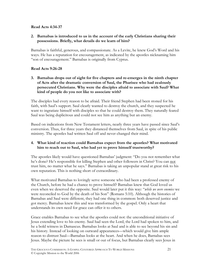#### Read Acts 4:34-37

#### 2. Barnabas is introduced to us in the account of the early Christians sharing their possessions. Briefly, what details do we learn of him?

Barnabas is faithful, generous, and compassionate. As a Levite, he knew God's Word and his ways. He has a reputation for encouragement, as indicated by the apostles nicknaming him "son of encouragement." Barnabas is originally from Cyprus.

#### Read Acts 9:26-28

3. Barnabas drops out of sight for five chapters and re-emerges in the ninth chapter of Acts after the dramatic conversion of Saul, the Pharisee who had zealously persecuted Christians. Why were the disciples afraid to associate with Saul? What kind of people do you not like to associate with?

The disciples had every reason to be afraid. Their friend Stephen had been stoned for his faith, with Saul's support. Saul clearly wanted to destroy the church, and they suspected he want to ingratiate himself with disciples so that he could destroy them. They naturally feared Saul was being duplicitous and could not see him as anything but an enemy.

Based on indications from New Testament letters, nearly three years have passed since Saul's conversion. Thus, for three years they distanced themselves from Saul, in spite of his public ministry. The apostles had written Saul off and never changed their mind.

#### 4. What kind of reaction could Barnabas expect from the apostles? What motivated him to reach out to Saul, who had yet to prove himself trustworthy?

The apostles likely would have questioned Barnabas' judgment: "Do you not remember what he's done? He's responsible for killing Stephen and other followers in Christ? You can not trust him, no matter what he says." Barnabas is taking an unpopular stand at great risk to his own reputation. This is nothing short of extraordinary.

What motivated Barnabas to lovingly serve someone who had been a professed enemy of the Church, before he had a chance to prove himself? Barnabas knew that God loved us even when we deserved the opposite. Saul would later put it this way: "while we were enemies we were reconciled to God by the death of his Son" (Romans 5:10). Although the histories of Barnabas and Saul were different, they had one thing in common: both deserved justice and got mercy. Barnabas knew this and was transformed by the gospel. Only a heart that understands its own need for grace can offer it to others.

Grace enables Barnabas to see what the apostles could not: the unconditional initiative of Jesus extending love to his enemy. Saul had seen the Lord, the Lord had spoken to him, and he a bold witness in Damascus. Barnabas looks at Saul and is able to see beyond his sin and his history. Instead of looking on outward appearances—which would give him ample reason to distrust Saul—Barnabas looks at the heart. And when he does, Barnabas sees Jesus. Maybe the picture he sees is small or out of focus, but Barnabas clearly sees Jesus in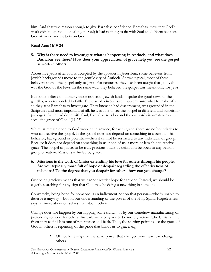him. And that was reason enough to give Barnabas confidence. Barnabas knew that God's work didn't depend on anything in Saul; it had nothing to do with Saul at all. Barnabas sees God at work, and he bets on God.

#### Read Acts 11:19-24

#### 5. Why is there need to investigate what is happening in Antioch, and what does Barnabas see there? How does your appreciation of grace help you see the gospel at work in others?

About five years after Saul is accepted by the apostles in Jerusalem, some believers from Jewish backgrounds move to the gentile city of Antioch. As was typical, most of these believers shared the gospel only to Jews. For centuries, they had been taught that Jehovah was the God of the Jews. In the same way, they believed the gospel was meant only for Jews.

But some believers—notably those not from Jewish lands—spoke the good news to the gentiles, who responded in faith. The disciples in Jerusalem weren't sure what to make of it, so they sent Barnabas to investigate. They knew he had discernment, was grounded in the Scriptures and most important of all, he was able to see the gospel in different and surprising packages. As he had done with Saul, Barnabas sees beyond the outward circumstances and sees "the grace of God" (11:23).

We must remain open to God working in anyone, for with grace, there are no boundaries to who can receive the gospel. If the gospel does not depend on something in a person—his behavior, background or potential—then it cannot be restricted to any individual or group. Because it does not depend on something in us, none of us is more or less able to receive grace. The gospel of grace, to be truly gracious, must by definition be open to any person, group or nation. Missions is fueled by grace.

#### 6. Missions is the work of Christ extending his love for others through his people. Are you typically more full of hope or despair regarding the effectiveness of missions? To the degree that you despair for others, how can you change?

Our being gracious means that we cannot restrict hope for anyone. Instead, we should be eagerly searching for any sign that God may be doing a new thing in someone.

Conversely, losing hope for someone is an indictment not on that person—who is unable to deserve it anyway—but on our understanding of the power of the Holy Spirit. Hopelessness says far more about ourselves than about others.

Change does not happen by our flipping some switch, or by our somehow manufacturing or pretending to hope for others. Instead, we need grace to be more gracious! The Christian life from start to finish is one of repentance and faith. Thus, the starting point to see the grace of God in others is repenting of the pride that blinds us to grace, e.g.

> • Of not believing that the same power that changed your heart can change others.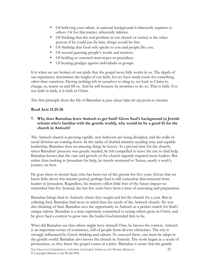- Of believing your ethnic or national background is inherently superior to others. Or for that matter, inherently inferior.
- Of thinking that the real problem in our church or society is the other person: if he could just fix him, things would be fine.
- Of thinking that God only speaks to you and people like you.
- Of second guessing people's words and motives.
- Of holding to untested stereotypes or prejudices.
- Of bearing grudges against individuals or groups.

It is when we are broken of our pride that the gospel most fully works in us. The depth of our repentance determines the height of our faith, for we have made room for something other than ourselves. Having nothing left in ourselves to cling to, we look to Christ to change us, renew us and fill us. And he will because he promises to do so. That is faith. It is not faith in faith, it is faith in Christ.

The first principle from the life of Barnabas is grace always hopes for any person or situation.

#### Read Acts 11:25-26

#### 7. Why does Barnabas leave Antioch to get Saul? Given Saul's background (a Jewish scholar who's familiar with the gentile world), why would he be a good fit for the church in Antioch?

The Antioch church is growing rapidly, new believers are being discipled, and the walls of racial division are coming down. In the midst of fruitful ministry needing wise and capable leadership, Barnabas does an amazing thing: he leaves. At a pivotal time for the church, when Barnabas' presence was greatly needed, he felt compelled to leave the city to find help. Barnabas knows that the care and growth of the church urgently required more leaders. But rather than looking to Jerusalem for help, he travels westward to Tarsus, nearly a week's journey on foot.

He goes there to recruit Saul, who has been out of the picture for five years. Given that we know little about this interim period, perhaps Saul is still somewhat disconnected from leaders in Jerusalem. Regardless, his ministry offers little hint of the future impact we remember him for. Instead, the last few years have been a time of seasoning and preparation.

Barnabas brings Saul to Antioch, where they taught and led the church for a year. But in enlisting Saul, Barnabas had more in mind than the needs of the Antioch church. He was also thinking of Saul. Barnabas sees the opportunity in Antioch as a perfect match for Saul's unique talents. Barnabas is a man supremely committed to seeing others grow in Christ, and he gives Saul a context to grow into the leader God intended him to be.

What did Barnabas see that others might have missed? First, he knows the context. Antioch is an important center of commerce, full of people from diverse ethnicities. The city is strongly influenced by Greek thinking and culture. To succeed there, one must be adept in the gentile world. Barnabas also knows the church in Antioch. The work began as a result of persecution, so they knew the gospel comes at a price. Barnabas is aware that the gentile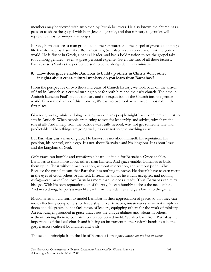members may be viewed with suspicion by Jewish believers. He also knows the church has a passion to share the gospel with both Jew and gentile, and that ministry to gentiles will represent a host of unique challenges.

In Saul, Barnabas sees a man grounded in the Scriptures and the gospel of grace, exhibiting a life transformed by Jesus. As a Roman citizen, Saul also has an appreciation for the gentile world. He is fluent in Greek, a natural leader, and has a bold passion to see the gospel take root among gentiles—even at great personal expense. Given the mix of all these factors, Barnabas sees Saul as the perfect person to come alongside him in ministry.

#### 8. How does grace enable Barnabas to build up others in Christ? What other insights about cross-cultural ministry do you learn from Barnabas'?

From the perspective of two thousand years of Church history, we look back on the arrival of Saul in Antioch as a critical turning point for both him and the early church. The time in Antioch launches Paul's public ministry and the expansion of the Church into the gentile world. Given the drama of this moment, it's easy to overlook what made it possible in the first place.

Given a growing ministry doing exciting work, many people might have been tempted just to stay in Antioch. When people are turning to you for leadership and advice, why share the role at all? And if help from the outside was really needed, why not get someone safe and predictable? When things are going well, it's easy not to give anything away.

But Barnabas was a man of grace. He knows it's not about himself, his reputation, his position, his control, or his ego. It's not about Barnabas and his kingdom. It's about Jesus and the kingdom of God.

Only grace can humble and transform a heart like it did for Barnabas. Grace enables Barnabas to think more about others than himself. And grace enables Barnabas to build them up in Christ without manipulation, without reservation, and without pride. Why? Because the gospel means that Barnabas has nothing to prove. He doesn't have to earn merit in the eyes of God, others or himself. Instead, he knows he is fully accepted, and nothing nothing—can make God love Barnabas more than he does already. Thus, Barnabas can relax his ego. With his own reputation out of the way, he can humbly address the need at hand. And in so doing, he pulls a man like Saul from the sidelines and gets him into the game.

Missionaries should learn to model Barnabas in their appreciation of grace, so that they can most effectively equip others for leadership. Like Barnabas, missionaries serve not simply as doers and delegaters, but as facilitators of leaders, equipping others for the work of ministry. An encourager grounded in grace draws out the unique abilities and talents in others, without forcing them to conform to a preconceived mold. We also learn from Barnabas the importance of the local church and it being an instrument in the Savior's hands to take the gospel across cultural boundaries and walls.

The second principle from the life of Barnabas is that *grace draws out the best in others*.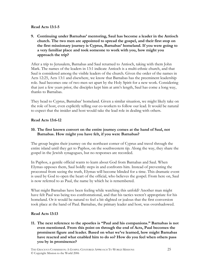#### Read Acts 13:1-5

9. Continuing under Barnabas' mentoring, Saul has become a leader in the Antioch church. The two men are appointed to spread the gospel, and their first stop on the first missionary journey is Cyprus, Barnabas' homeland. If you were going to a very familiar place and took someone to work with you, how might you approach the trip?

After a trip to Jerusalem, Barnabas and Saul returned to Antioch, taking with them John Mark. The names of the leaders in 13:1 indicate Antioch is a multi-ethnic church, and that Saul is considered among the visible leaders of the church. Given the order of the names in Acts 12:25, Acts 13:1 and elsewhere, we know that Barnabas has the preeminent leadership role. Saul becomes one of two men set apart by the Holy Spirit for a new work. Considering that just a few years prior, the disciples kept him at arm's length, Saul has come a long way, thanks to Barnabas.

They head to Cyprus, Barnabas' homeland. Given a similar situation, we might likely take on the role of host, even explicitly telling our co-workers to follow our lead. It would be natural to expect that the insider and host would take the lead role in dealing with others.

#### Read Acts 13:6-12

#### 10. The first known convert on the entire journey comes at the hand of Saul, not Barnabas. How might you have felt, if you were Barnabas?

The group begins their journey on the northeast corner of Cyprus and travel through the entire island until they get to Paphos, on the southwestern tip. Along the way, they share the gospel in the Jewish synagogues, but no responses are recorded.

In Paphos, a gentile official wants to learn about God from Barnabas and Saul. When Elymas opposes them, Saul boldly steps in and confronts him. Instead of preventing the proconsul from seeing the truth, Elymas will become blinded for a time. This dramatic event is used by God to open the heart of the official, who believes the gospel. From here on, Saul is now referred to as Paul, the name by which he is remembered.

What might Barnabas have been feeling while watching this unfold? Another man might have felt Paul was being too confrontational, and that his tactics weren't appropriate for his homeland. Or it would be natural to feel a bit slighted or jealous that the first conversion took place at the hand of Paul. Barnabas, the primary leader and host, was overshadowed.

#### Read Acts 13:13

11. The next reference to the apostles is "Paul and his companions." Barnabas is not even mentioned. From this point on through the end of Acts, Paul becomes the prominent figure and leader. Based on what we've learned, how might Barnabas have reacted and what enabled him to do so? How do you feel when others pass you by in prominence?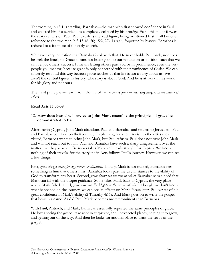The wording in 13:1 is startling. Barnabas—the man who first showed confidence in Saul and enlisted him for service—is completely eclipsed by his protégé. From this point forward, the story centers on Paul. Paul clearly is the lead figure, being mentioned first in all but one reference to the two men (c.f. 13:46, 50; 15:2, 22). Largely forgotten by history, Barnabas is reduced to a footnote of the early church.

We have every indication that Barnabas is ok with that. He never holds Paul back, nor does he seek the limelight. Grace means not holding on to our reputation or position such that we can't enjoy others' success. It means letting others pass you by in prominence, even the very people you mentor, because grace is only concerned with the prominence of Christ. We can sincerely respond this way because grace teaches us that life is not a story about us. We aren't the central figures in history. The story is about God. And he is at work in his world, for his glory and not ours.

The third principle we learn from the life of Barnabas is *grace unreservedly delights in the success of* others.

#### Read Acts 15:36-39

#### 12. How does Barnabas' service to John Mark resemble the principles of grace he demonstrated to Paul?

After leaving Cyprus, John Mark abandons Paul and Barnabas and returns to Jerusalem. Paul and Barnabas continue on their journey. In planning for a return visit to the cities they visited, Barnabas wants to bring John Mark, but Paul refuses. Paul does not trust John Mark and will not reach out to him. Paul and Barnabas have such a sharp disagreement over the matter that they separate. Barnabas takes Mark and heads straight for Cyprus. We know nothing of their travels, for the storyline in Acts follows Paul's journey. However, we can see a few things.

First, grace always hopes for any person or situation. Though Mark is not trusted, Barnabas sees something in him that others miss. Barnabas looks past the circumstances to the ability of God to transform any heart. Second, grace draws out the best in others. Barnabas sees a need that Mark can fill with the proper guidance. So he takes Mark back to Cyprus, the very place where Mark failed. Third, grace unreservedly delights in the success of others. Though we don't know what happened on the journey, we can see its effects on Mark. Years later, Paul writes of his great confidence in Mark's ability (2 Timothy 4:11). And Mark goes on to write the gospel that bears his name. As did Paul, Mark becomes more prominent than Barnabas.

With Paul, Antioch, and Mark, Barnabas essentially repeated the same principles of grace. He loves seeing the gospel take root in surprising and unexpected places, helping it to grow, and getting out of the way. And then he looks for another place to plant the seeds of the gospel.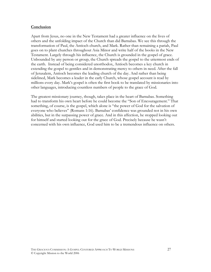#### Conclusion

Apart from Jesus, no one in the New Testament had a greater influence on the lives of others and the unfolding impact of the Church than did Barnabas. We see this through the transformation of Paul, the Antioch church, and Mark. Rather than remaining a pariah, Paul goes on to plant churches throughout Asia Minor and write half of the books in the New Testament. Largely through his influence, the Church is grounded in the gospel of grace. Unbounded by any person or group, the Church spreads the gospel to the uttermost ends of the earth. Instead of being considered unorthodox, Antioch becomes a key church in extending the gospel to gentiles and in demonstrating mercy to others in need. After the fall of Jerusalem, Antioch becomes the leading church of the day. And rather than being sidelined, Mark becomes a leader in the early Church, whose gospel account is read by millions every day. Mark's gospel is often the first book to be translated by missionaries into other languages, introducing countless numbers of people to the grace of God.

The greatest missionary journey, though, takes place in the heart of Barnabas. Something had to transform his own heart before he could become the "Son of Encouragement." That something, of course, is the gospel, which alone is "the power of God for the salvation of everyone who believes" (Romans 1:16). Barnabas' confidence was grounded not in his own abilities, but in the surpassing power of grace. And in this affection, he stopped looking out for himself and started looking out for the grace of God. Precisely because he wasn't concerned with his own influence, God used him to be a tremendous influence on others.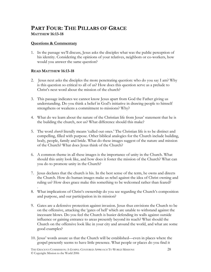# PART FOUR: THE PILLARS OF GRACE MATTHEW 16:13-18

#### Questions & Commentary

1. In the passage we'll discuss, Jesus asks the disciples what was the public perception of his identity. Considering the opinions of your relatives, neighbors or co-workers, how would you answer the same question?

#### READ MATTHEW 16:13-18

- 2. Jesus next asks the disciples the more penetrating question: who do you say I am? Why is this question so critical to all of us? How does this question serve as a prelude to Christ's next word about the mission of the church?
- 3. This passage indicates we cannot know Jesus apart from God the Father giving us understanding. Do you think a belief in God's initiative in drawing people to himself strengthens or weakens a commitment to missions? Why?
- 4. What do we learn about the nature of the Christian life from Jesus' statement that he is the building the church, not us? What difference should this make?
- 5. The word *church* literally means 'called out ones.' The Christian life is to be distinct and compelling, filled with purpose. Other biblical analogies for the Church include building, body, people, family and bride. What do these images suggest of the nature and mission of the Church? What does Jesus think of the Church?
- 6. A common theme in all these images is the importance of unity in the Church. What should this unity look like, and how does it foster the mission of the Church? What can you do to promote unity in the Church?
- 7. Jesus declares that the church is his. In the best sense of the term, he owns and directs the Church. How do human images make us rebel against the idea of Christ owning and ruling us? How does grace make this something to be welcomed rather than feared?
- . 8. What implications of Christ's ownership do you see regarding the Church's composition and purpose, and our participation in its mission?
- 9. Gates are a defensive protection against invasion. Jesus thus envisions the Church to be on the offensive, attacking the 'gates of hell' which are unable to withstand against the incessant blows. Do you feel the Church is busier defending its walls against outside influence or gaining entrance to areas presently beyond its reach? What should the Church on the offensive look like in your city and around the world, and what are some good examples?
- 10. Jesus' words assure us that the Church will be established—even in places where the gospel presently seems to have little presence. What people or places do you find it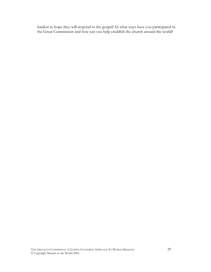hardest to hope they will respond to the gospel? In what ways have you participated in the Great Commission and how can you help establish the church around the world?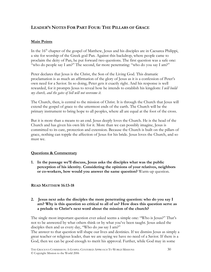# LEADER'S NOTES FOR PART FOUR: THE PILLARS OF GRACE

#### Main Points

In the 16<sup>th</sup> chapter of the gospel of Matthew, Jesus and his disciples are in Caesarea Philippi, a site for worship of the Greek god Pan. Against this backdrop, where people came to proclaim the deity of Pan, he put forward two questions. The first question was a safe one: "who do people say I am?" The second, far more penetrating: "who do you say I am?"

Peter declares that Jesus is the Christ, the Son of the Living God. This dramatic proclamation is as much an affirmation of the glory of Jesus as it is a confession of Peter's own need for a Savior. In so doing, Peter gets it exactly right. And his response is well rewarded, for it prompts Jesus to reveal how he intends to establish his kingdom: I will build my church, and the gates of hell will not overcome it.

The Church, then, is central to the mission of Christ. It is through the Church that Jesus will extend the gospel of grace to the uttermost ends of the earth. The Church will be the primary instrument to bring hope to all peoples, where all are equal at the foot of the cross.

But it is more than a means to an end. Jesus deeply loves the Church. He is the head of the Church and has given his own life for it. More than we can possibly imagine, Jesus is committed to its care, protection and extension. Because the Church is built on the pillars of grace, nothing can topple the affection of Jesus for his bride. Jesus loves the Church, and so must we.

#### Questions & Commentary

1. In the passage we'll discuss, Jesus asks the disciples what was the public perception of his identity. Considering the opinions of your relatives, neighbors or co-workers, how would you answer the same question? Warm-up question.

#### READ MATTHEW 16:13-18

#### 2. Jesus next asks the disciples the more penetrating question: who do you say I am? Why is this question so critical to all of us? How does this question serve as a prelude to Christ's next word about the mission of the church?

The single most important question ever asked seems a simple one: "Who is Jesus?" That's not to be answered by what others think or by what you've been taught. Jesus asked the disciples then and us every day, "Who do *you* say I am?"

The answer to that question will shape our lives and destinies. If we dismiss Jesus as simply a great teacher or religious leader, than we are saying we have no need of a Savior. If there is a God, then we can be good enough to merit his approval. Further, while God may in some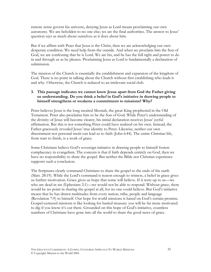remote sense govern his universe, denying Jesus as Lord means proclaiming our own autonomy. We are beholden to no one else; we are the final authorities. The answer to Jesus' question says as much about ourselves as it does about him.

But if we affirm with Peter that Jesus is the Christ, then we are acknowledging our own desperate condition. We need help from the outside. And when we proclaim him the Son of God, we are confessing that he is Lord. We are his, and he has the full right and power to do in and through us as he pleases. Proclaiming Jesus as Lord is fundamentally a declaration of submission.

The mission of the Church is essentially the establishment and expansion of the kingdom of God. There is no point in talking about the Church without first establishing who leads it and why. Otherwise, the Church is reduced to an irrelevant social club.

#### 3. This passage indicates we cannot know Jesus apart from God the Father giving us understanding. Do you think a belief in God's initiative in drawing people to himself strengthens or weakens a commitment to missions? Why?

Peter believes Jesus is the long awaited Messiah, the great King prophesied in the Old Testament. Peter also proclaims him to be the Son of God. While Peter's understanding of the divinity of Jesus will become clearer, his initial declaration receives Jesus' joyful affirmation. But this is not something Peter could have realized on his own. Instead, the Father graciously revealed Jesus' true identity to Peter. Likewise, neither our own discernment nor personal merit can lead us to faith (John 6:44). The entire Christian life, from start to finish, is a work of grace.

Some Christians believe God's sovereign initiative in drawing people to himself fosters complacency in evangelism. The concern is that if faith depends entirely on God, then we have no responsibility to share the gospel. But neither the Bible nor Christian experience supports such a conclusion.

The Scriptures clearly command Christians to share the gospel to the ends of the earth (Matt. 28:19). While the Lord's command is reason enough to witness, a belief in grace gives us further motivation. Grace gives us hope that some will believe. If it were up to us—we who are dead in sin (Ephesians 2:1)—we would not be able to respond. Without grace, there would be no point in sharing the gospel at all, for no one could believe. But God's initiative means that he has drawn multitudes from every nation, tribe, people and language (Revelation 7:9) to himself. Our hope for world missions is based on God's certain promise. Gospel-centered missions is like looking for buried treasure: you will be far more motivated to dig if you know it's out there. Grounded on this hope of God's initiative, countless numbers of Christians have gone into all the world to share the good news of grace.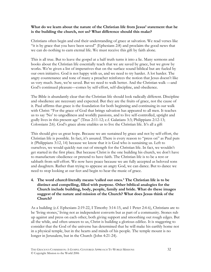#### What do we learn about the nature of the Christian life from Jesus' statement that he is the building the church, not us? What difference should this make?

Christians often begin and end their understanding of grace at salvation. We read verses like "it is by grace that you have been saved" (Ephesians 2:8) and proclaim the good news that we can do nothing to earn eternal life. We must receive this gift by faith alone.

This is all true. But to leave the gospel at a half truth turns it into a lie. Many sermons and books about the Christian life essentially teach that we are saved by grace, but we grow by works. We're given a list of imperatives that on the surface sound biblical but are fueled by our own initiative. God is not happy with us, and we need to try harder. A lot harder. The angry countenance and tone of many a preacher reinforces the notion that Jesus doesn't like us very much. Sure, we're saved. But we need to walk better. And the Christian walk —and God's continued pleasure—comes by self-effort, self-discipline, and obedience.

The Bible is abundantly clear that the Christian life should look radically different. Discipline and obedience are necessary and expected. But they are the fruits of grace, not the cause of it. Paul affirms that grace is the foundation for both beginning and continuing in our walk with Christ: "For the grace of God that brings salvation has appeared to all men. It teaches us to say 'No' to ungodliness and worldly passions, and to live self-controlled, upright and godly lives in this present age" (Titus 2:11-12; c.f. Galatians 3:3; Philippians 2:12-13; Colossians 2:6). God's grace alone enables us to live the Christian life. It's all a gift

This should give us great hope. Because we are sustained by grace and not by self-effort, the Christian life is possible. In fact, it's assured. There is every reason to "press on" as Paul puts it (Philippians 3:12, 14) because we know that it is God who is sustaining us. Left to ourselves, we would quickly run out of strength for the Christian life. In fact, we wouldn't get started in the first place. But because Christ is the one building his church, we don't have to manufacture obedience or pretend to have faith. The Christian life is to be a rest or sabbath from self-effort. We now have peace because we are fully accepted as beloved sons and daughters. Rather than trying to appease an angry God, we can dance. But to dance we need to stop looking at our feet and begin to hear the music of grace.

#### 4. The word *church* literally means 'called out ones.' The Christian life is to be distinct and compelling, filled with purpose. Other biblical analogies for the Church include building, body, people, family and bride. What do these images suggest of the nature and mission of the Church? What does Jesus think of the Church?

As a building (c.f. Ephesians 2:19-22, I Timothy 3:14-15, and 1 Peter 2:4-6), Christians are to be 'living stones,' living not as independent converts but as part of a community. Stones rub up against and press on each other, both giving support and smoothing out rough edges. But all the while, and often unseen to us, Christ is building a glorious edifice. It is staggering to consider that the God of the universe has determined that he will make his earthly home not in a physical temple, but in the hearts and minds of his people. The temple mount is no longer in Jerusalem, but in the Church (John 4:21-24).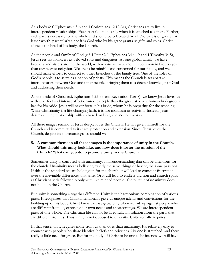As a body (c.f. Ephesians 4:3-6 and I Corinthians 12:12-31), Christians are to live in interdependent relationships. Each part functions only when it is attached to others. Further, each part is necessary for the whole and should be celebrated by all. No part is of greater or lesser worth, particularly since it is God who by his grace grants us gifts and roles. Christ alone is the head of his body, the Church.

As the people and family of God (c.f. I Peter 2:9, Ephesians 3:14-19 and I Timothy 3:15), Jesus sees his followers as beloved sons and daughters. As one global family, we have brothers and sisters around the world, with whom we have more in common in God's eyes than our nearest neighbor. We are to be mindful and concerned for our family, and we should make efforts to connect to other branches of the family tree. One of the roles of God's people is to serve as a nation of priests. This means the Church is set apart as intermediaries between God and other people, bringing them to a deeper knowledge of God and addressing their needs.

As the bride of Christ (c.f. Ephesians 5:25-33 and Revelation 19:6-8), we know Jesus loves us with a perfect and intense affection--more deeply than the greatest love a human bridegroom has for his bride. Jesus will never forsake his bride, whom he is preparing for the wedding. While Christianity is a life-changing faith, it is not moralism or activism. Instead, Jesus desires a living relationship with us based on his grace, not our works.

All these images remind us Jesus deeply loves the Church. He has given himself for the Church and is committed to its care, protection and extension. Since Christ loves the Church, despite its shortcomings, so should we.

#### 5. A common theme in all these images is the importance of unity in the Church. What should this unity look like, and how does it foster the mission of the Church? What can you do to promote unity in the Church?

Sometimes unity is confused with unanimity, a misunderstanding that can be disastrous for the church. Unanimity means believing exactly the same things or having the same passions. If this is the standard we are holding up for the church, it will lead to constant frustration over the inevitable differences that arise. Or it will lead to endless division and church splits, as Christians seek fellowship only with like minded people. The pursuit of unanimity does not build up the Church.

But unity is something altogether different. Unity is the harmonious combination of various parts. It recognizes that Christ intentionally gave us unique talents and convictions for the building up of his body. Christ knew that we grow only when we rub up against people who are different from us, exposing our own needs and shortcomings. We are interdependent parts of one whole. The Christian life cannot be lived fully in isolation from the parts that are different from us. Thus, unity is not opposed to diversity. Unity actually requires it.

In that sense, unity requires more from us than does than unanimity. It's relatively easy to connect with people who share identical beliefs and priorities. No one is stretched, and there really is little need for grace. But for the body of Christ to be one as he intends, we will have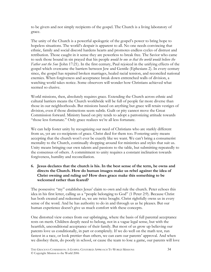to be givers and not simply recipients of the gospel. The Church is a living laboratory of grace.

The unity of the Church is a powerful apologetic of the gospel's power to bring hope to hopeless situations. The world's despair is apparent to all. No one needs convincing that ethnic, family and social discord hardens hearts and promotes endless cycles of distrust and retribution. Those caught in it sense they are powerless to break free. The Savior who came to seek those bound in sin prayed that his people would be one so that the world would believe the Father sent the Son (John 17:21). In the first century, Paul rejoiced in the unifying effects of the gospel which overcame the barriers between Jew and Gentile (Ephesians 2). In every century since, the gospel has repaired broken marriages, healed racial tension, and reconciled national enemies. When forgiveness and acceptance break down entrenched walls of division, a watching world takes notice. Some observers will wonder how Christians achieved what seemed so elusive.

World missions, then, absolutely requires grace. Extending the Church across ethnic and cultural barriers means the Church worldwide will be full of people far more diverse than those in our neighborhoods. But missions based on anything but grace will retain vestiges of division, even if those distinctions seem subtle. Guilt or pity cannot move the Great Commission forward. Ministry based on pity tends to adopt a patronizing attitude towards "those less fortunate." Only grace realizes we're all less fortunate.

We can help foster unity by recognizing our need of Christians who are starkly different from us, yet are co-recipients of grace. Christ died for them too. Fostering unity means accepting that the church won't ever be exactly like we want. We can't bring a consumerist mentality to the Church, continually shopping around for ministries and styles that suit us. Unity means bringing our own talents and passions to the table, but submitting repeatedly to the consensus of others. A commitment to unity requires a constant inclination towards forgiveness, humility and reconciliation.

#### 6. Jesus declares that the church is his. In the best sense of the term, he owns and directs the Church. How do human images make us rebel against the idea of Christ owning and ruling us? How does grace make this something to be welcomed rather than feared?

The possessive "my" establishes Jesus' claim to own and rule the church. Peter echoes this idea in his first letter, calling us a "people belonging to God" (1 Peter 2:9). Because Christ has both created and redeemed us, we are twice bought. Christ rightfully owns us in every sense of the word. And he has authority to do in and through us as he pleases. But our human experience doesn't give us much comfort with these concepts.

One distorted view comes from our upbringing, where the basis of full parental acceptance rests on merit. Children deeply need to belong, not in a vague legal sense, but with the heartfelt, unconditional acceptance of their family. But most of us grow up believing our parents love us conditionally, in part or completely. If we do well on the math test, run fastest in a race, or look prettier than others, we can earn our parents' approval. And when we disobey them, do poorly in school, or cause the team to lose a game, our parents will love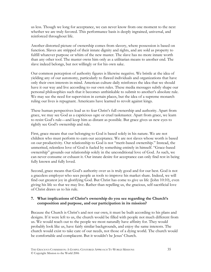us less. Though we long for acceptance, we can never know from one moment to the next whether we are truly favored. This performance basis is deeply ingrained, universal, and reinforced throughout life.

Another distorted picture of ownership comes from slavery, where possession is based on function. Slaves are stripped of their innate dignity and rights, and are sold as property to fulfill whatever purpose or whim of the new master. The slave has no more innate worth than any other tool. The master owns him only as a utilitarian means to another end. The slave indeed belongs, but not willingly or for his own sake.

Our common perception of authority figures is likewise negative. We bristle at the idea of yielding any of our autonomy, particularly to flawed individuals and organizations that have only their own interests in mind. American culture daily reinforces the idea that we should have it our way and live according to our own rules. These media messages subtly shape our personal philosophies such that it becomes unthinkable to submit to another's absolute rule. We may see the need for supervision in certain places, but the idea of a supreme monarch ruling our lives is repugnant. Americans have learned to revolt against kings.

These human perspectives lead us to fear Christ's full ownership and authority. Apart from grace, we may see God as a capricious ogre or cruel taskmaster. Apart from grace, we learn to resist God's rule—and keep him as distant as possible. But grace gives us new eyes to rightly see God's ownership and rule.

First, grace means that our belonging to God is based solely in his nature. We are not children who must perform to earn our acceptance. We are not slaves whose worth is based on our productivity. Our relationship to God is not "merit-based ownership." Instead, the unmerited, relentless love of God is fueled by something entirely in himself. "Grace-based ownership" grounds our relationship solely in the unconditional love of God. As such, we can never consume or exhaust it. Our innate desire for acceptance can only find rest in being fully known and fully loved.

Second, grace means that God's authority over us is truly good and for our best. God is not a graceless employer who sees people as tools to improve his market share. Indeed, we will find our greatest joy in glorifying God. But Christ has come to give us life (John 10:10), even giving his life so that we may live. Rather than repelling us, the gracious, self-sacrificial love of Christ draws us to his rule.

#### 7. What implications of Christ's ownership do you see regarding the Church's composition and purpose, and our participation in its mission?

Because the Church is Christ's and not our own, it must be built according to his plans and designs. If it were left to us, the church would be filled with people not much different from us. We would reach out to the people we most naturally have affinity for. They would probably look like us, have fairly similar backgrounds, and enjoy the same interests. The church would exist to take care of our needs, not those of a dying world. The church would be comfortable and complacent. But it wouldn't be Jesus' Church.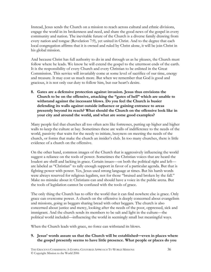Instead, Jesus sends the Church on a mission to reach across cultural and ethnic divisions, engage the world in its brokenness and need, and share the good news of the gospel in every community and nation. The inevitable future of the Church is a diverse family drawing from every nation and tongue (Revelation 7:9), yet united in Christ. And to the degree that each local congregation affirms that it is owned and ruled by Christ alone, it will be join Christ in his global mission.

And because Christ has full authority to do in and through us as he pleases, the Church must follow where he leads. We know he will extend the gospel to the uttermost ends of the earth. It is the responsibility of every Church and every Christian to be enlisted in the Great Commission. This service will invariably come at some level of sacrifice of our time, energy and treasure. It may cost us much more. But when we remember that God is good and gracious, it is not only our duty to follow him, but our heart's desire.

8. Gates are a defensive protection against invasion. Jesus thus envisions the Church to be on the offensive, attacking the "gates of hell" which are unable to withstand against the incessant blows. Do you feel the Church is busier defending its walls against outside influence or gaining entrance to areas presently beyond its reach? What should the Church on the offensive look like in your city and around the world, and what are some good examples?

Many people feel that churches all too often acts like fortresses, putting up higher and higher walls to keep the culture at bay. Sometimes these are walls of indifference to the needs of the world, passivity that waits for the needy to initiate, busyness on meeting the needs of the church, or forms that make the church an insider's club. In too many churches, there is little evidence of a church on the offensive.

On the other hand, common images of the Church that is aggressively influencing the world suggest a reliance on the tools of power. Sometimes the Christian voices that are heard the loudest are shrill and lacking in grace. Certain issues—on both the political right and left are labeled as "Christian" to rally enough support in favor of a particular agenda. But that is fighting power with power. Yes, Jesus used strong language at times. But his harsh words were always reserved for religious legalists, not for those "bruised and broken by the fall." Make no mistake about it: Christians can and should have a voice in the public arena. But the tools of legislation cannot be confused with the tools of grace.

The only thing the Church has to offer the world that it can find nowhere else is grace. Only grace can overcome power. A church on the offensive is deeply concerned about evangelism and missions, going as beggars sharing bread with other beggars. The church is also concerned about justice and mercy, looking after the needs of the poor, oppressed, sick and immigrant. And the church sends its members to be salt and light in the culture—the political world included—influencing the world in seemingly small but meaningful ways.

When the Church leads with grace, no force can withstand its blows.

#### 9. Jesus' words assure us that the Church will be established—even in places where the gospel presently seems to have little presence. What people or places do you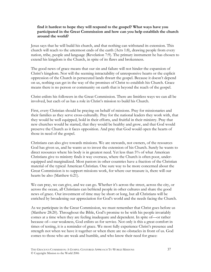#### find it hardest to hope they will respond to the gospel? What ways have you participated in the Great Commission and how can you help establish the church around the world?

Jesus says that he will build his church, and that nothing can withstand its extension. This church will reach to the uttermost ends of the earth (Acts 1:8), drawing people from every nation, tribe, people and language (Revelation 7:9). The primary instrument he has chosen to extend his kingdom is the Church, in spite of its flaws and brokenness.

The good news of grace means that our sin and failure will not hinder the expansion of Christ's kingdom. Nor will the seeming intractability of unresponsive hearts or the explicit oppression of the Church in persecuted lands thwart the gospel. Because it doesn't depend on us, nothing can get in the way of the promises of Christ to establish his Church. Grace means there is no person or community on earth that is beyond the reach of the gospel.

Christ enlists his followers in the Great Commission. There are limitless ways we can all be involved, but each of us has a role in Christ's mission to build his Church.

First, every Christian should be praying on behalf of missions. Pray for missionaries and their families as they serve cross-culturally. Pray for the national leaders they work with, that they would be well equipped, bold in their efforts, and fruitful in their ministry. Pray that new churches would be started, that they would be healthy and grow, and that God would preserve the Church as it faces opposition. And pray that God would open the hearts of those in need of the gospel.

Christians can also give towards missions. We are stewards, not owners, of the resources God has given us, and he wants us to invest the extension of his Church. Surely he wants to direct resources where his body is in greatest need. Yet less than 5% of what American Christians give to ministry finds it way overseas, where the Church is often poor, underequipped and marginalized. Most pastors in other countries have a fraction of the Christian material of the typical American Christian. One sure way to be more concerned about the Great Commission is to support missions work, for where our treasure is, there will our hearts be also (Matthew 6:21).

We can pray, we can give, and we can go. Whether it's across the street, across the city, or across the ocean, all Christians can befriend people in other cultures and share the good news of grace. Our investment of time may be short or long, but all Christians will be enriched by broadening our appreciation for God's world and the needs facing the Church.

As we participate in the Great Commission, we must remember that Christ goes before us (Matthew 28:20). Throughout the Bible, God's promise to be with his people invariably comes at a time when they are feeling inadequate and dependent. In spite of—or rather because of—our weakness, God enlists us for service. Not only is this a great comfort in times of testing, it is a reminder of grace. We most fully experience Christ's presence and strength not when we have it together or when there are no obstacles in front of us. God comes to those who are weak and humble, and who know their need for grace: